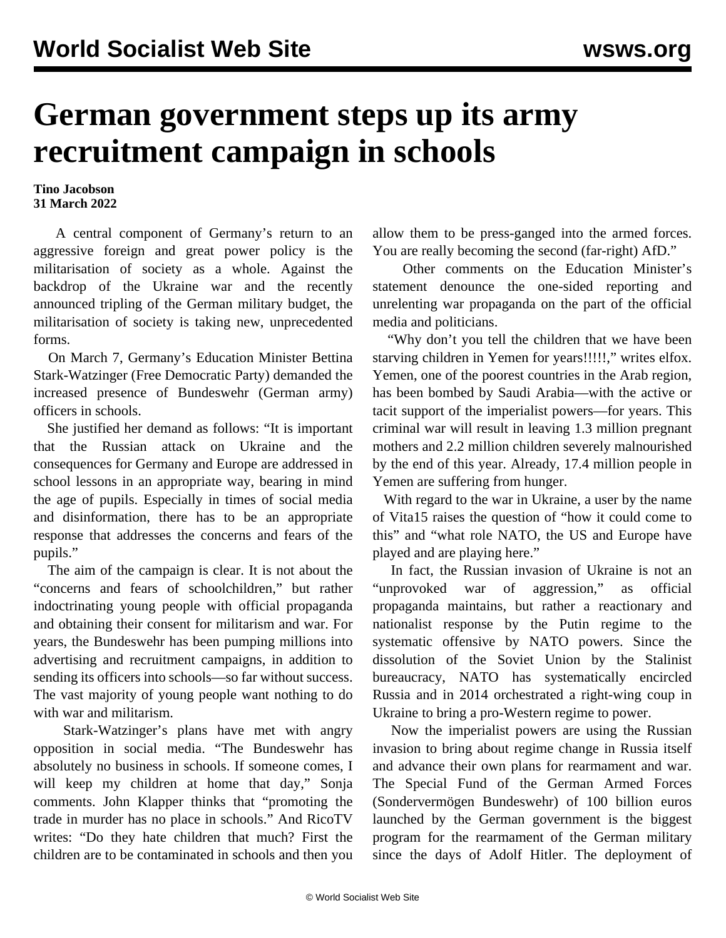## **German government steps up its army recruitment campaign in schools**

## **Tino Jacobson 31 March 2022**

 A central component of Germany's return to an aggressive foreign and great power policy is the militarisation of society as a whole. Against the backdrop of the Ukraine war and the recently announced tripling of the German military budget, the militarisation of society is taking new, unprecedented forms.

 On March 7, Germany's Education Minister Bettina Stark-Watzinger (Free Democratic Party) demanded the increased presence of Bundeswehr (German army) officers in schools.

 She justified her demand as follows: "It is important that the Russian attack on Ukraine and the consequences for Germany and Europe are addressed in school lessons in an appropriate way, bearing in mind the age of pupils. Especially in times of social media and disinformation, there has to be an appropriate response that addresses the concerns and fears of the pupils."

 The aim of the campaign is clear. It is not about the "concerns and fears of schoolchildren," but rather indoctrinating young people with official propaganda and obtaining their consent for militarism and war. For years, the Bundeswehr has been pumping millions into advertising and recruitment campaigns, in addition to sending its officers into schools—so far without success. The vast majority of young people want nothing to do with war and militarism.

 Stark-Watzinger's plans have met with angry opposition in social media. "The Bundeswehr has absolutely no business in schools. If someone comes, I will keep my children at home that day," Sonja comments. John Klapper thinks that "promoting the trade in murder has no place in schools." And RicoTV writes: "Do they hate children that much? First the children are to be contaminated in schools and then you allow them to be press-ganged into the armed forces. You are really becoming the second (far-right) AfD."

 Other comments on the Education Minister's statement denounce the one-sided reporting and unrelenting war propaganda on the part of the official media and politicians.

 "Why don't you tell the children that we have been starving children in Yemen for years!!!!!," writes elfox. Yemen, one of the poorest countries in the Arab region, has been bombed by Saudi Arabia—with the active or tacit support of the imperialist powers—for years. This criminal war will result in leaving 1.3 million pregnant mothers and 2.2 million children severely malnourished by the end of this year. Already, 17.4 million people in Yemen are suffering from hunger.

 With regard to the war in Ukraine, a user by the name of Vita15 raises the question of "how it could come to this" and "what role NATO, the US and Europe have played and are playing here."

 In fact, the Russian invasion of Ukraine is not an "unprovoked war of aggression," as official propaganda maintains, but rather a reactionary and nationalist response by the Putin regime to the systematic offensive by NATO powers. Since the dissolution of the Soviet Union by the Stalinist bureaucracy, NATO has systematically encircled Russia and in 2014 orchestrated a right-wing coup in Ukraine to bring a pro-Western regime to power.

 Now the imperialist powers are using the Russian invasion to bring about regime change in Russia itself and advance their own plans for rearmament and war. The Special Fund of the German Armed Forces (Sondervermögen Bundeswehr) of 100 billion euros launched by the German government is the biggest program for the rearmament of the German military since the days of Adolf Hitler. The deployment of